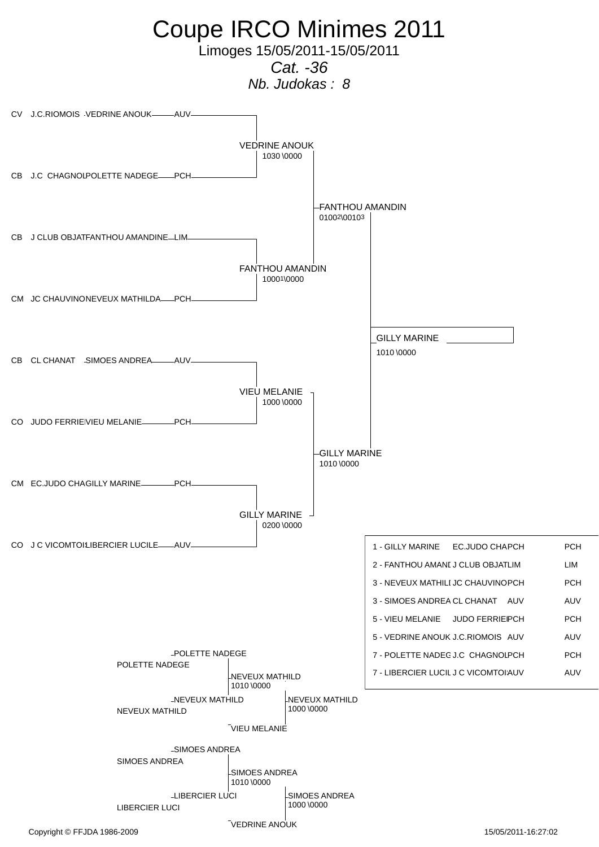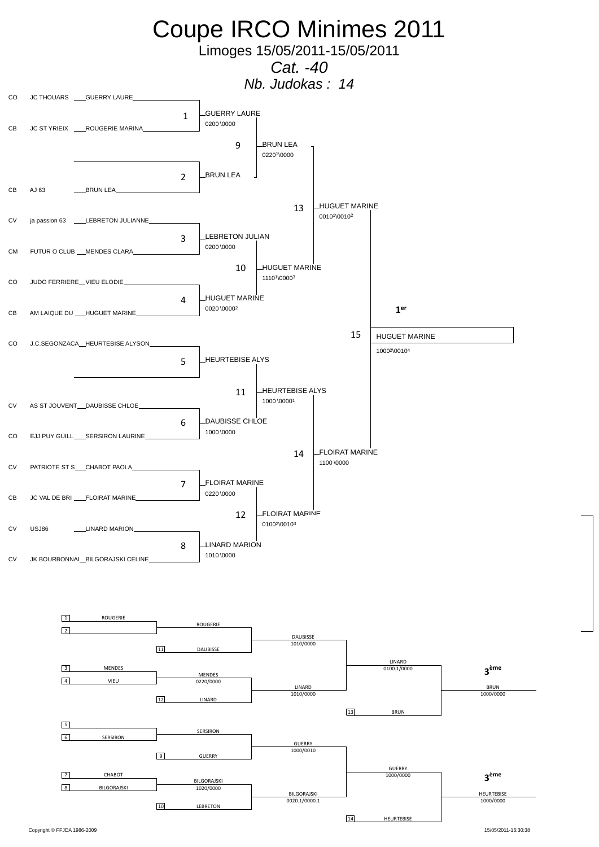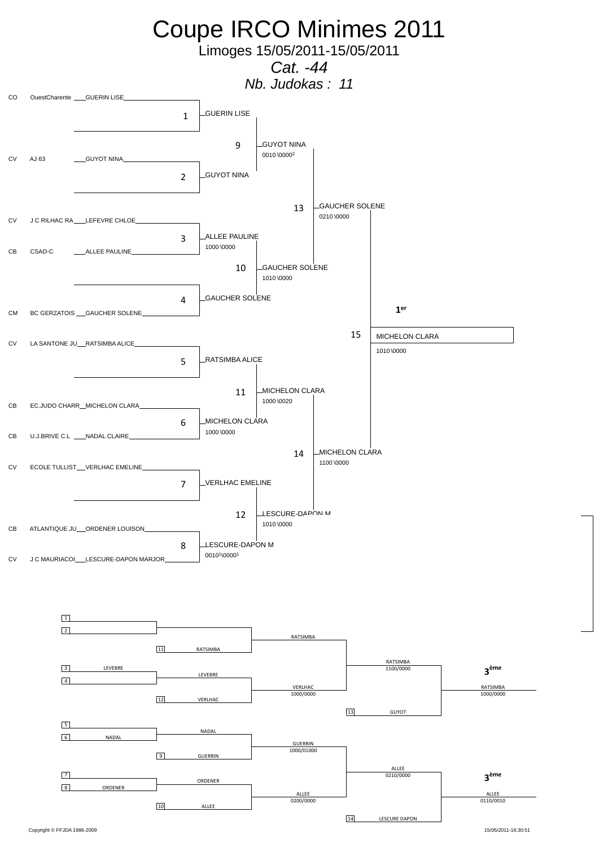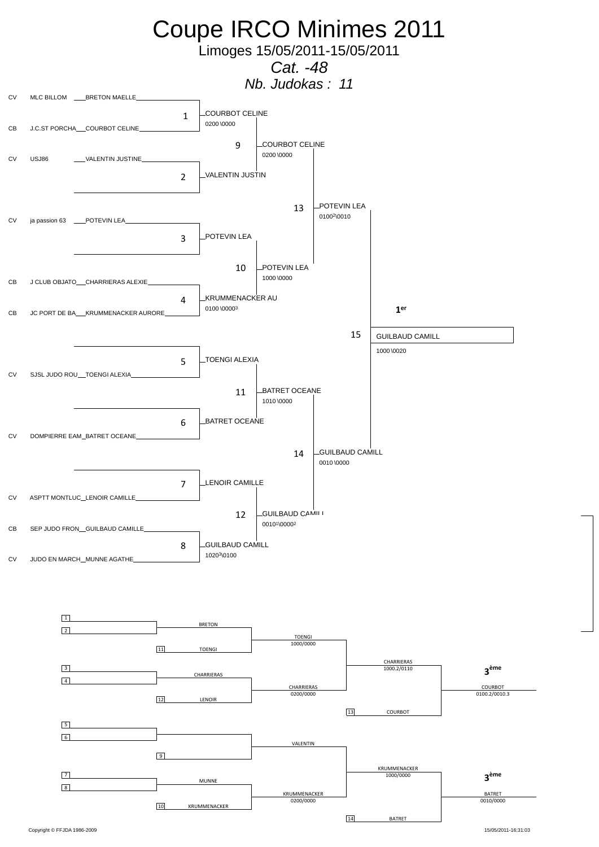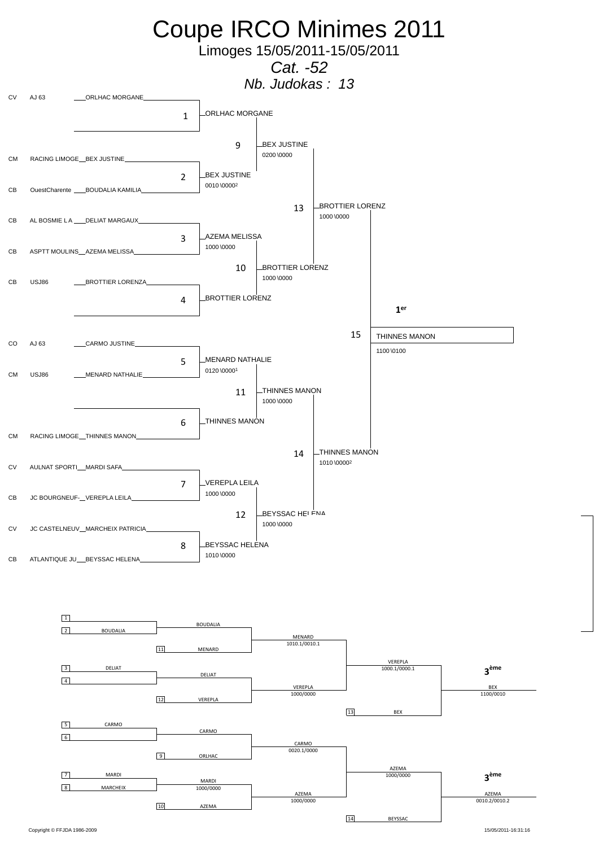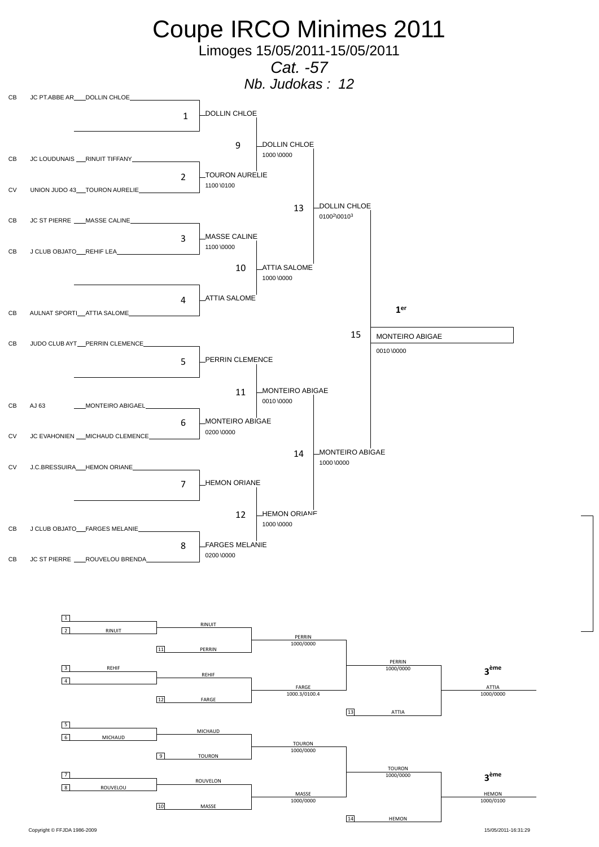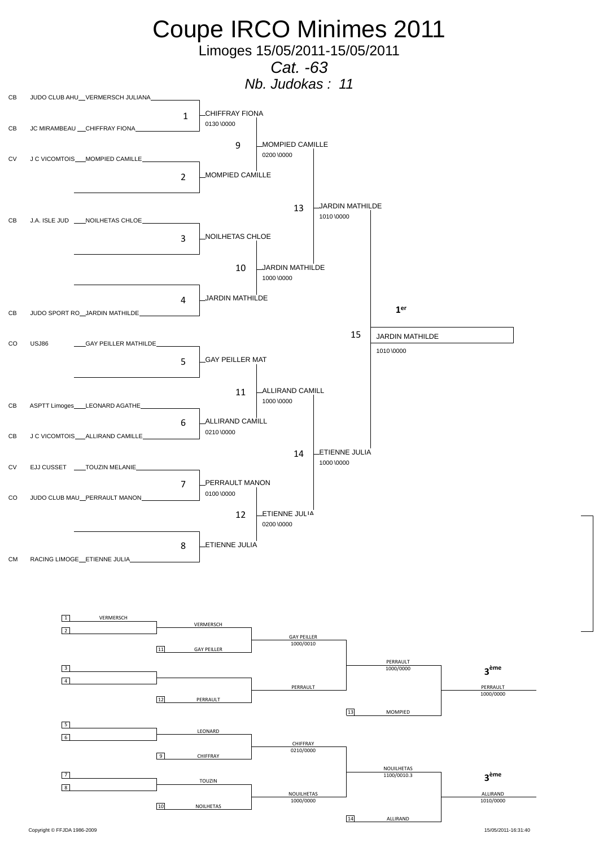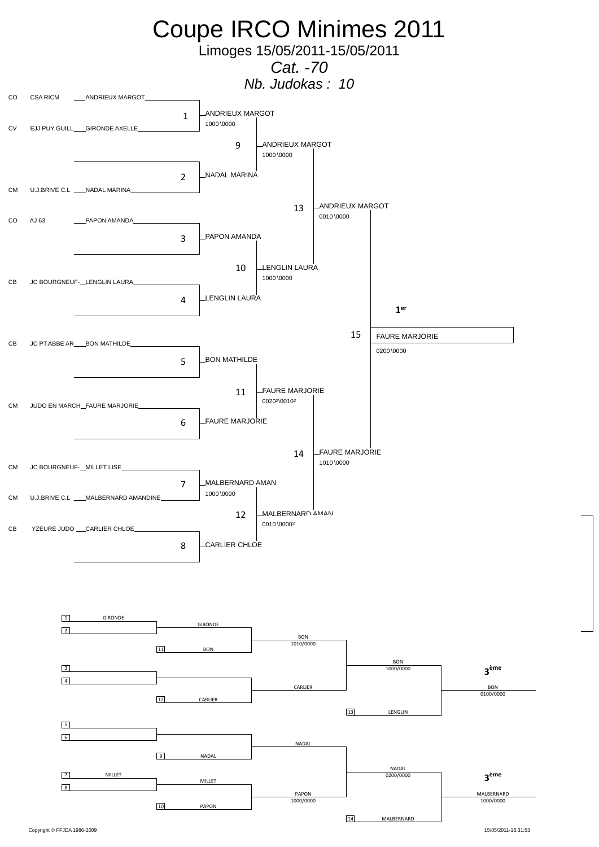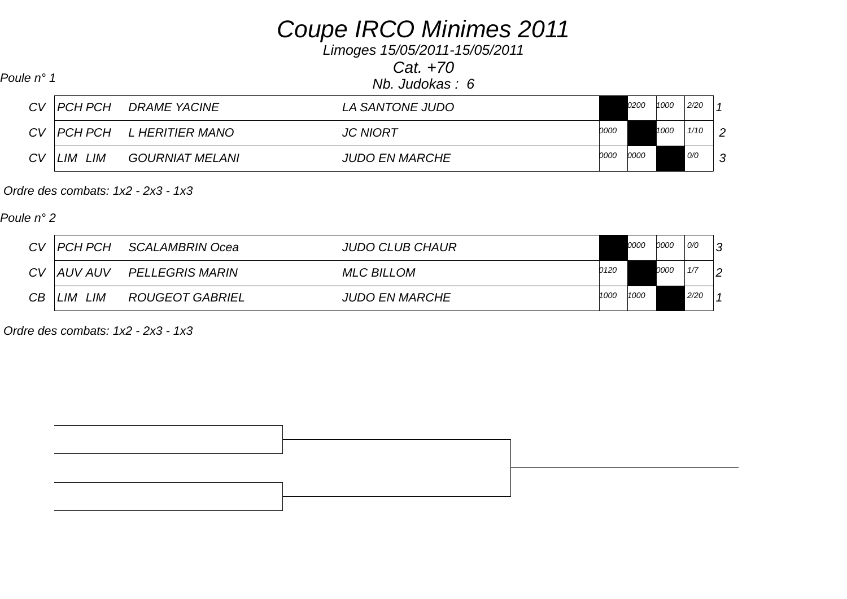## *Coupe IRCO Minimes 2011*

*Limoges 15/05/2011-15/05/2011*

*Cat. +70*

| Poule n° 1 |                     |
|------------|---------------------|
|            | $Nb.$ Judokas $: 6$ |

|    | CV   PCH PCH | <b>DRAME YACINE</b>    | <i>LA SANTONE JUDO</i> |      | 0200 | 1000 | 2/20 |        |
|----|--------------|------------------------|------------------------|------|------|------|------|--------|
|    | CV   PCH PCH | L HERITIER MANO        | <b>JC NIORT</b>        | 0000 |      | 1000 | 1/10 | 2      |
| CV | LIM<br>. LIM | <b>GOURNIAT MELANI</b> | <b>JUDO EN MARCHE</b>  | 0000 | 0000 |      | 0/0  | $\sim$ |

 *Ordre des combats: 1x2 - 2x3 - 1x3* 

*Poule n° 2*

| CV | PCH PCH        | SCALAMBRIN Ocea        | <b>JUDO CLUB CHAUR</b> |      | 0000 | 0000 | O/O  | 3 |
|----|----------------|------------------------|------------------------|------|------|------|------|---|
| CV | <b>AUV AUV</b> | <b>PELLEGRIS MARIN</b> | <b>MLC BILLOM</b>      | 0120 |      | 0000 | 1/7  | 2 |
| CB | LIM<br>LIM.    | <b>ROUGEOT GABRIEL</b> | <b>JUDO EN MARCHE</b>  | 1000 | 1000 |      | 2/20 |   |

 *Ordre des combats: 1x2 - 2x3 - 1x3*